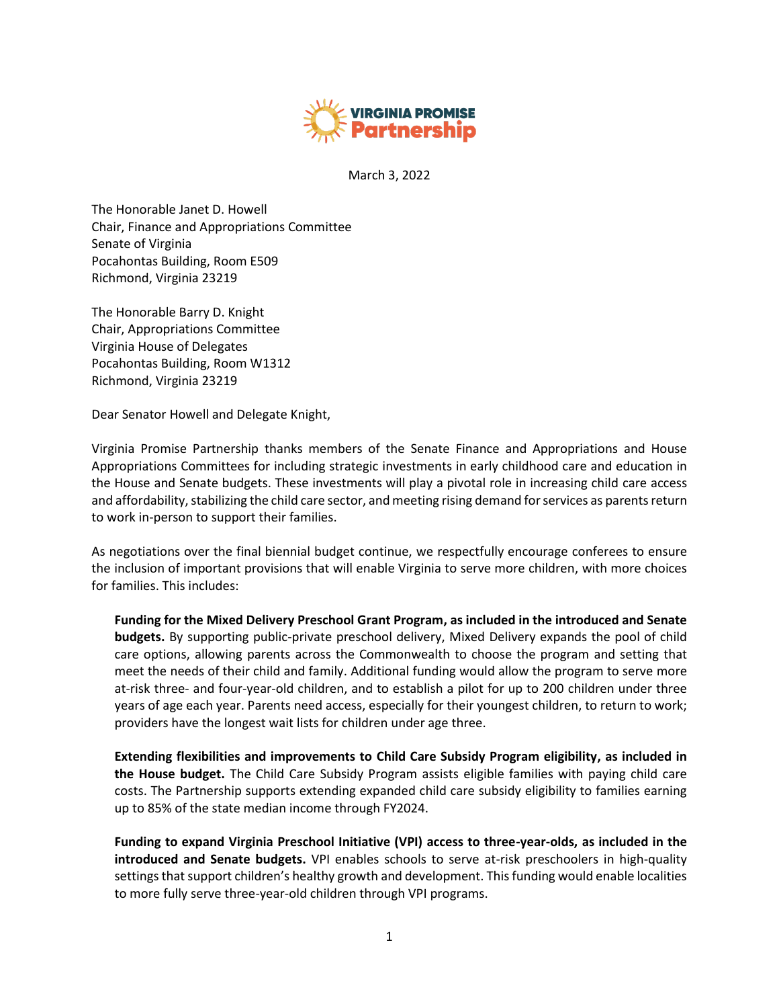

March 3, 2022

The Honorable Janet D. Howell Chair, Finance and Appropriations Committee Senate of Virginia Pocahontas Building, Room E509 Richmond, Virginia 23219

The Honorable Barry D. Knight Chair, Appropriations Committee Virginia House of Delegates Pocahontas Building, Room W1312 Richmond, Virginia 23219

Dear Senator Howell and Delegate Knight,

Virginia Promise Partnership thanks members of the Senate Finance and Appropriations and House Appropriations Committees for including strategic investments in early childhood care and education in the House and Senate budgets. These investments will play a pivotal role in increasing child care access and affordability, stabilizing the child care sector, and meeting rising demand for services as parents return to work in-person to support their families.

As negotiations over the final biennial budget continue, we respectfully encourage conferees to ensure the inclusion of important provisions that will enable Virginia to serve more children, with more choices for families. This includes:

**Funding for the Mixed Delivery Preschool Grant Program, as included in the introduced and Senate budgets.** By supporting public-private preschool delivery, Mixed Delivery expands the pool of child care options, allowing parents across the Commonwealth to choose the program and setting that meet the needs of their child and family. Additional funding would allow the program to serve more at‐risk three‐ and four-year‐old children, and to establish a pilot for up to 200 children under three years of age each year. Parents need access, especially for their youngest children, to return to work; providers have the longest wait lists for children under age three.

**Extending flexibilities and improvements to Child Care Subsidy Program eligibility, as included in the House budget.** The Child Care Subsidy Program assists eligible families with paying child care costs. The Partnership supports extending expanded child care subsidy eligibility to families earning up to 85% of the state median income through FY2024.

**Funding to expand Virginia Preschool Initiative (VPI) access to three-year-olds, as included in the introduced and Senate budgets.** VPI enables schools to serve at-risk preschoolers in high-quality settings that support children's healthy growth and development. This funding would enable localities to more fully serve three-year-old children through VPI programs.